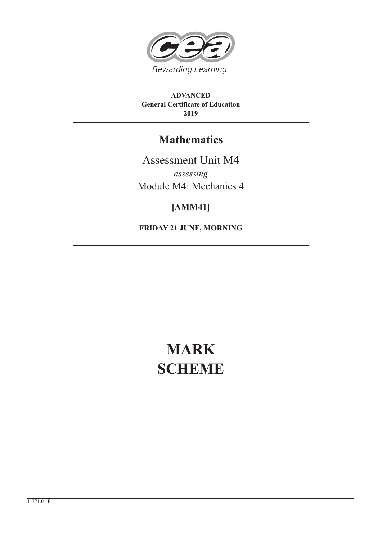

**ADVANCED General Certificate of Education 2019**

# **Mathematics**

Assessment Unit M4 *assessing* Module M4: Mechanics 4

## **[AMM41]**

**FRIDAY 21 JUNE, MORNING**

# **MARK SCHEME**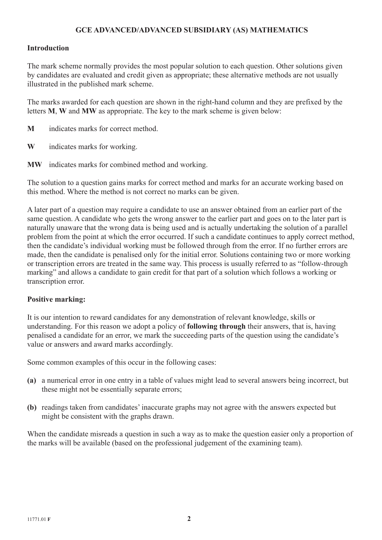### **GCE ADVANCED/ADVANCED SUBSIDIARY (AS) MATHEMATICS**

#### **Introduction**

The mark scheme normally provides the most popular solution to each question. Other solutions given by candidates are evaluated and credit given as appropriate; these alternative methods are not usually illustrated in the published mark scheme.

The marks awarded for each question are shown in the right-hand column and they are prefixed by the letters **M**, **W** and **MW** as appropriate. The key to the mark scheme is given below:

- **M** indicates marks for correct method.
- **W** indicates marks for working.
- **MW** indicates marks for combined method and working.

The solution to a question gains marks for correct method and marks for an accurate working based on this method. Where the method is not correct no marks can be given.

A later part of a question may require a candidate to use an answer obtained from an earlier part of the same question. A candidate who gets the wrong answer to the earlier part and goes on to the later part is naturally unaware that the wrong data is being used and is actually undertaking the solution of a parallel problem from the point at which the error occurred. If such a candidate continues to apply correct method, then the candidate's individual working must be followed through from the error. If no further errors are made, then the candidate is penalised only for the initial error. Solutions containing two or more working or transcription errors are treated in the same way. This process is usually referred to as "follow-through marking" and allows a candidate to gain credit for that part of a solution which follows a working or transcription error.

#### **Positive marking:**

It is our intention to reward candidates for any demonstration of relevant knowledge, skills or understanding. For this reason we adopt a policy of **following through** their answers, that is, having penalised a candidate for an error, we mark the succeeding parts of the question using the candidate's value or answers and award marks accordingly.

Some common examples of this occur in the following cases:

- **(a)** a numerical error in one entry in a table of values might lead to several answers being incorrect, but these might not be essentially separate errors;
- **(b)** readings taken from candidates' inaccurate graphs may not agree with the answers expected but might be consistent with the graphs drawn.

When the candidate misreads a question in such a way as to make the question easier only a proportion of the marks will be available (based on the professional judgement of the examining team).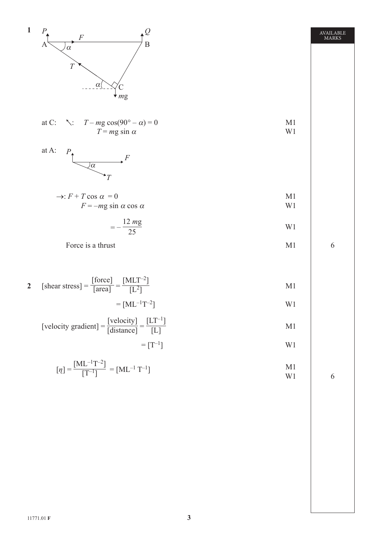

**AVAILABLE MARKS** AVAILABLE MARKS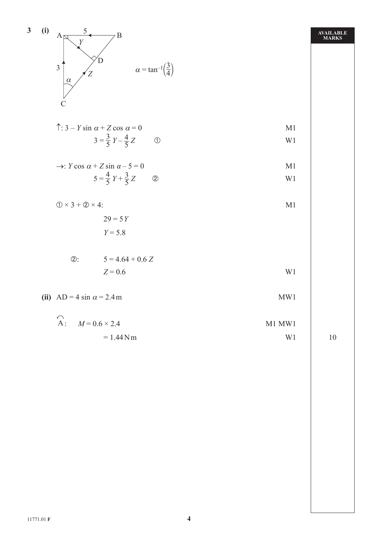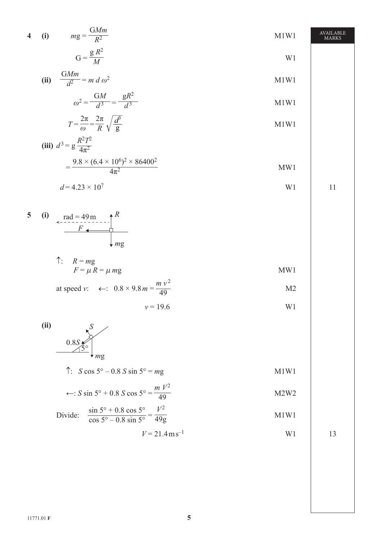$$
4 \quad (i) \quad mg = \frac{GMm}{R^2} \quad M1W1 \quad \text{AMARKS}
$$

$$
G = \frac{g R^2}{M}
$$
 W1

(ii) 
$$
\frac{GMm}{d^2} = m \ d \ \omega^2
$$
 M1W1

$$
\omega^2 = \frac{GM}{d^3} = \frac{gR^2}{d^3}
$$

$$
T = \frac{2\pi}{\omega} = \frac{2\pi}{R} \sqrt{\frac{d^3}{g}}
$$

(iii) 
$$
d^3 = g \frac{R^2 T^2}{4\pi^2}
$$

$$
=\frac{9.8\times(6.4\times10^6)^2\times86400^2}{4\pi^2}
$$
 MW1

$$
d = 4.23 \times 10^7 \tag{11}
$$

5 (i) 
$$
\operatorname{rad} = 49 \text{ m}
$$
   
  $F \leftarrow$    
  $m \text{ g}$ 

$$
\begin{aligned}\n\uparrow: \quad R = mg \\
F = \mu \, R = \mu \, mg\n\end{aligned}
$$
\nMW1

at speed v: 
$$
\leftarrow
$$
:  $0.8 \times 9.8 m = \frac{m v^2}{49}$  M2

$$
v = 19.6 \t\t W1
$$

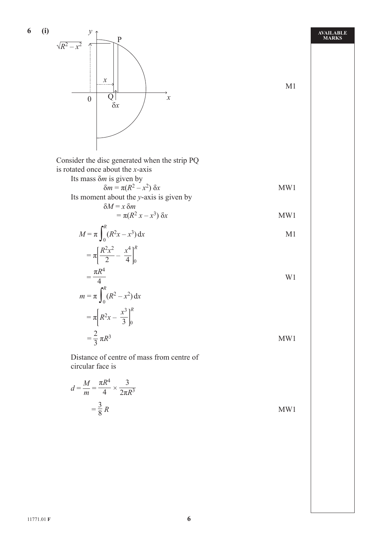6 (i)  
\n
$$
\sqrt{R^2 - x^2}
$$
  
\n $\frac{1}{2}$   
\n0 Q  
\n $\frac{1}{8x}$   
\n15  
\n16 mass  $\delta m$  is given by  
\n $\delta m = \pi (R^2 - x^2) \delta x$   
\nIt is moment about the x-axis  
\n $\delta M = \pi (R^2 - x^2) \delta x$   
\n $= \pi (R^2 - x^2) \delta x$   
\n $= \pi (R^2 - x^2) \delta x$   
\n $M = \pi \int_0^R (R^2x - x^3) dx$   
\n $= \pi \left[ \frac{R^2x^2}{2} - \frac{x^4}{4} \right]_0^R$   
\n $= \frac{\pi R^4}{4}$   
\n $m = \pi \int_0^R (R^2 - x^2) dx$   
\n $= \pi [R^2x - \frac{x^3}{3}]_0^R$   
\n $= \frac{2}{3} \pi R^3$   
\n17  
\nDistance of centre of mass from centre of  
\ncircular face is  
\n $d = \frac{M}{m} = \frac{\pi R^4}{4} \times \frac{3}{2\pi R^3}$   
\n $= \frac{3}{8} R$   
\n $\frac{3}{8} R$   
\n $\frac{3}{8} R$   
\n $\frac{1}{8} \pi R^2$   
\n $\frac{1}{8} \pi R^2$   
\n $\frac{1}{8} \pi R^2$   
\n $\frac{1}{8} \pi R^2$   
\n $\pi R^2$   
\n $\pi R^2$   
\n $\pi R^2$   
\n $\pi R^2$   
\n $\pi R^2$   
\n $\pi R^2$   
\n $\pi R^2$   
\n $\pi R^2$   
\n $\pi R^2$   
\n $\pi R^2$   
\n $\pi R^2$   
\n $\pi R^2$   
\n $\pi R^2$   
\n $\pi R^2$   
\n $\pi R^2$   
\n $\pi R^2$   
\n $\pi R^2$ 

**AVAILABLE MARKS**

**6 (i)**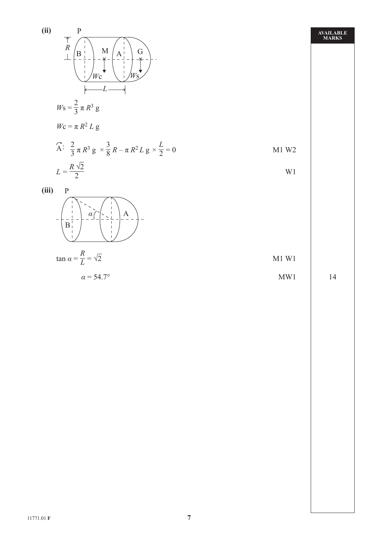

$$
\alpha = 54.7^{\circ}
$$
 MW1 14